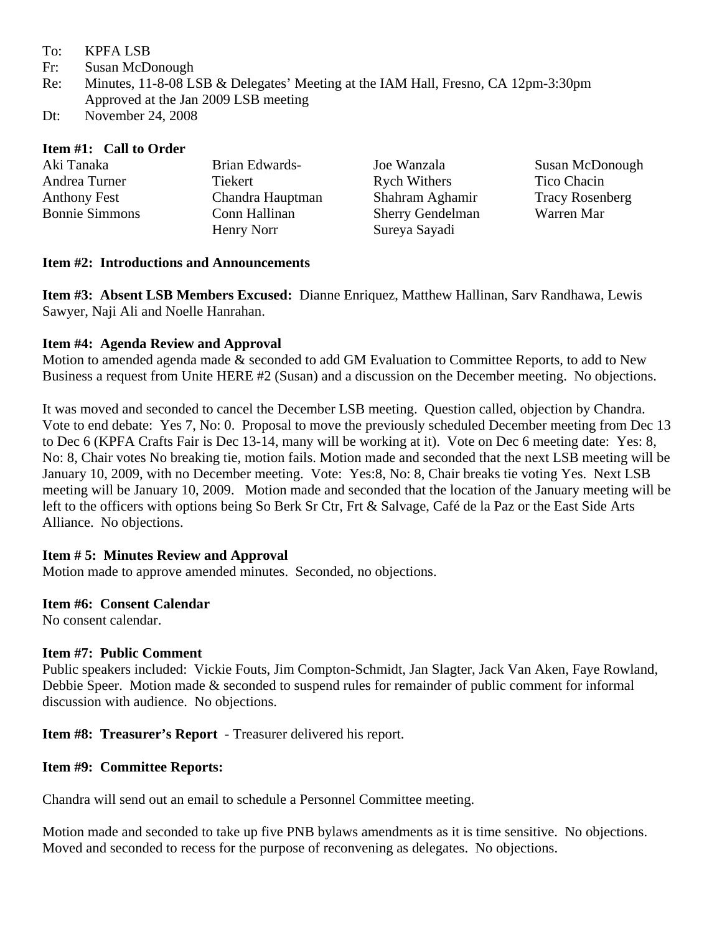- To: KPFA LSB
- Fr: Susan McDonough
- Re: Minutes, 11-8-08 LSB & Delegates' Meeting at the IAM Hall, Fresno, CA 12pm-3:30pm Approved at the Jan 2009 LSB meeting
- Dt: November 24, 2008

#### **Item #1: Call to Order**

| Aki Tanaka            | Brian Edwards-   | Joe Wanzala             | Susan McDonough        |
|-----------------------|------------------|-------------------------|------------------------|
| Andrea Turner         | Tiekert          | <b>Rych Withers</b>     | Tico Chacin            |
| <b>Anthony Fest</b>   | Chandra Hauptman | Shahram Aghamir         | <b>Tracy Rosenberg</b> |
| <b>Bonnie Simmons</b> | Conn Hallinan    | <b>Sherry Gendelman</b> | Warren Mar             |
|                       | Henry Norr       | Sureya Sayadi           |                        |

## **Item #2: Introductions and Announcements**

**Item #3: Absent LSB Members Excused:** Dianne Enriquez, Matthew Hallinan, Sarv Randhawa, Lewis Sawyer, Naji Ali and Noelle Hanrahan.

## **Item #4: Agenda Review and Approval**

Motion to amended agenda made & seconded to add GM Evaluation to Committee Reports, to add to New Business a request from Unite HERE #2 (Susan) and a discussion on the December meeting. No objections.

It was moved and seconded to cancel the December LSB meeting. Question called, objection by Chandra. Vote to end debate: Yes 7, No: 0. Proposal to move the previously scheduled December meeting from Dec 13 to Dec 6 (KPFA Crafts Fair is Dec 13-14, many will be working at it). Vote on Dec 6 meeting date: Yes: 8, No: 8, Chair votes No breaking tie, motion fails. Motion made and seconded that the next LSB meeting will be January 10, 2009, with no December meeting. Vote: Yes:8, No: 8, Chair breaks tie voting Yes. Next LSB meeting will be January 10, 2009. Motion made and seconded that the location of the January meeting will be left to the officers with options being So Berk Sr Ctr, Frt & Salvage, Café de la Paz or the East Side Arts Alliance. No objections.

## **Item # 5: Minutes Review and Approval**

Motion made to approve amended minutes. Seconded, no objections.

## **Item #6: Consent Calendar**

No consent calendar.

#### **Item #7: Public Comment**

Public speakers included: Vickie Fouts, Jim Compton-Schmidt, Jan Slagter, Jack Van Aken, Faye Rowland, Debbie Speer. Motion made & seconded to suspend rules for remainder of public comment for informal discussion with audience. No objections.

**Item #8: Treasurer's Report** - Treasurer delivered his report.

## **Item #9: Committee Reports:**

Chandra will send out an email to schedule a Personnel Committee meeting.

Motion made and seconded to take up five PNB bylaws amendments as it is time sensitive. No objections. Moved and seconded to recess for the purpose of reconvening as delegates. No objections.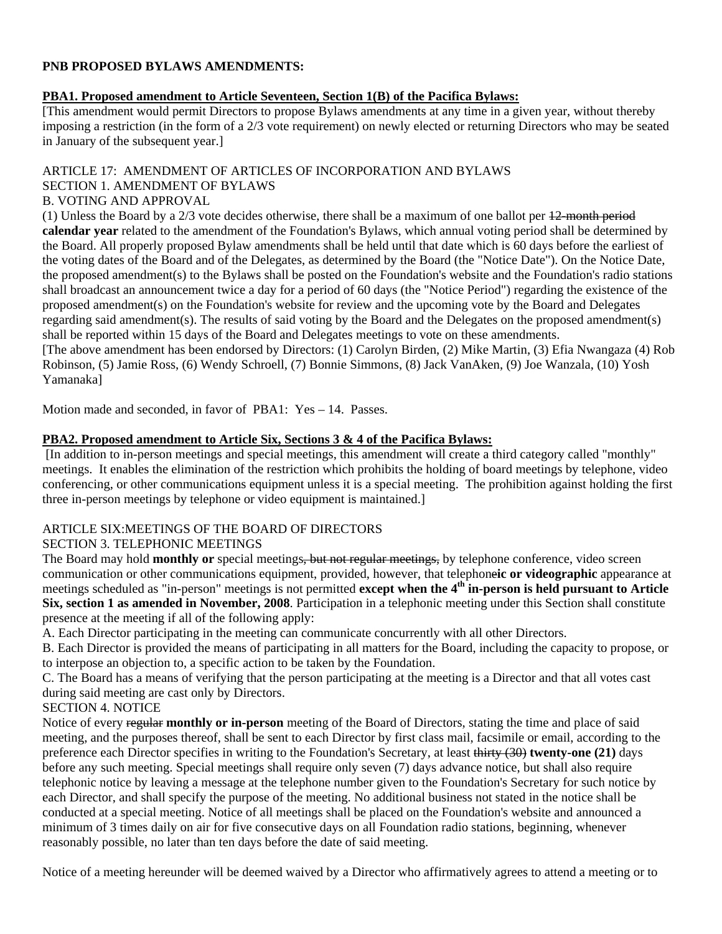#### **PNB PROPOSED BYLAWS AMENDMENTS:**

#### **PBA1. Proposed amendment to Article Seventeen, Section 1(B) of the Pacifica Bylaws:**

[This amendment would permit Directors to propose Bylaws amendments at any time in a given year, without thereby imposing a restriction (in the form of a 2/3 vote requirement) on newly elected or returning Directors who may be seated in January of the subsequent year.]

#### ARTICLE 17: AMENDMENT OF ARTICLES OF INCORPORATION AND BYLAWS SECTION 1. AMENDMENT OF BYLAWS

# B. VOTING AND APPROVAL

(1) Unless the Board by a  $2/3$  vote decides otherwise, there shall be a maximum of one ballot per  $12$ -month period **calendar year** related to the amendment of the Foundation's Bylaws, which annual voting period shall be determined by the Board. All properly proposed Bylaw amendments shall be held until that date which is 60 days before the earliest of the voting dates of the Board and of the Delegates, as determined by the Board (the "Notice Date"). On the Notice Date, the proposed amendment(s) to the Bylaws shall be posted on the Foundation's website and the Foundation's radio stations shall broadcast an announcement twice a day for a period of 60 days (the "Notice Period") regarding the existence of the proposed amendment(s) on the Foundation's website for review and the upcoming vote by the Board and Delegates regarding said amendment(s). The results of said voting by the Board and the Delegates on the proposed amendment(s) shall be reported within 15 days of the Board and Delegates meetings to vote on these amendments. [The above amendment has been endorsed by Directors: (1) Carolyn Birden, (2) Mike Martin, (3) Efia Nwangaza (4) Rob Robinson, (5) Jamie Ross, (6) Wendy Schroell, (7) Bonnie Simmons, (8) Jack VanAken, (9) Joe Wanzala, (10) Yosh

Yamanaka]

Motion made and seconded, in favor of PBA1: Yes – 14. Passes.

#### **PBA2. Proposed amendment to Article Six, Sections 3 & 4 of the Pacifica Bylaws:**

 [In addition to in-person meetings and special meetings, this amendment will create a third category called "monthly" meetings. It enables the elimination of the restriction which prohibits the holding of board meetings by telephone, video conferencing, or other communications equipment unless it is a special meeting. The prohibition against holding the first three in-person meetings by telephone or video equipment is maintained.]

# ARTICLE SIX:MEETINGS OF THE BOARD OF DIRECTORS

## SECTION 3. TELEPHONIC MEETINGS

The Board may hold **monthly or** special meetings, but not regular meetings, by telephone conference, video screen communication or other communications equipment, provided, however, that telephone**ic or videographic** appearance at meetings scheduled as "in-person" meetings is not permitted **except when the 4th in-person is held pursuant to Article Six, section 1 as amended in November, 2008**. Participation in a telephonic meeting under this Section shall constitute presence at the meeting if all of the following apply:

A. Each Director participating in the meeting can communicate concurrently with all other Directors.

B. Each Director is provided the means of participating in all matters for the Board, including the capacity to propose, or to interpose an objection to, a specific action to be taken by the Foundation.

C. The Board has a means of verifying that the person participating at the meeting is a Director and that all votes cast during said meeting are cast only by Directors.

## SECTION 4. NOTICE

Notice of every regular **monthly or in-person** meeting of the Board of Directors, stating the time and place of said meeting, and the purposes thereof, shall be sent to each Director by first class mail, facsimile or email, according to the preference each Director specifies in writing to the Foundation's Secretary, at least thirty (30) **twenty-one (21)** days before any such meeting. Special meetings shall require only seven (7) days advance notice, but shall also require telephonic notice by leaving a message at the telephone number given to the Foundation's Secretary for such notice by each Director, and shall specify the purpose of the meeting. No additional business not stated in the notice shall be conducted at a special meeting. Notice of all meetings shall be placed on the Foundation's website and announced a minimum of 3 times daily on air for five consecutive days on all Foundation radio stations, beginning, whenever reasonably possible, no later than ten days before the date of said meeting.

Notice of a meeting hereunder will be deemed waived by a Director who affirmatively agrees to attend a meeting or to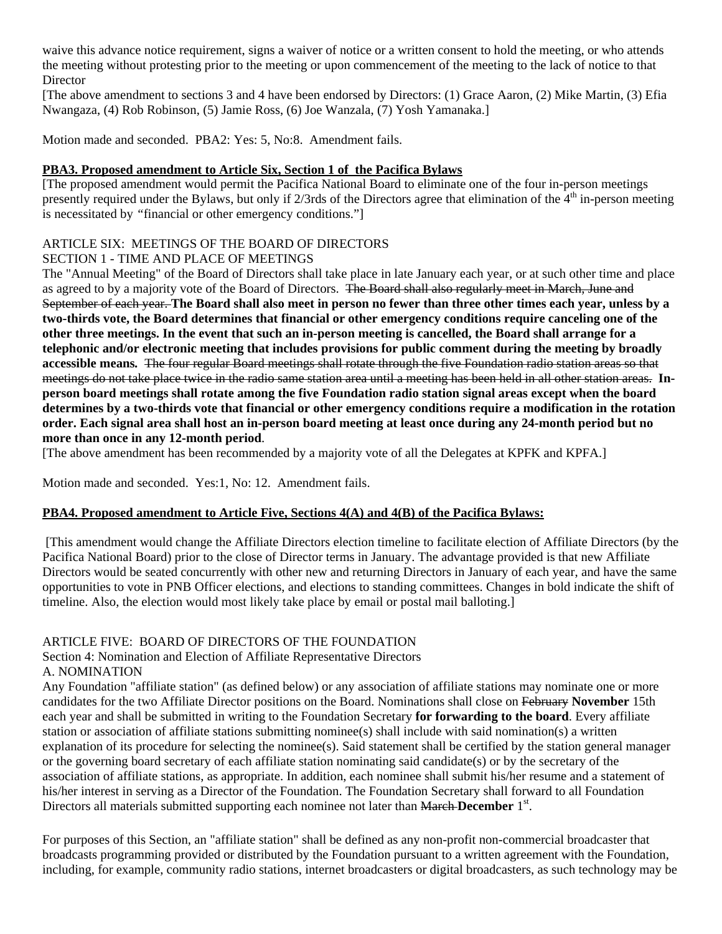waive this advance notice requirement, signs a waiver of notice or a written consent to hold the meeting, or who attends the meeting without protesting prior to the meeting or upon commencement of the meeting to the lack of notice to that **Director** 

[The above amendment to sections 3 and 4 have been endorsed by Directors: (1) Grace Aaron, (2) Mike Martin, (3) Efia Nwangaza, (4) Rob Robinson, (5) Jamie Ross, (6) Joe Wanzala, (7) Yosh Yamanaka.]

Motion made and seconded. PBA2: Yes: 5, No:8. Amendment fails.

#### **PBA3. Proposed amendment to Article Six, Section 1 of the Pacifica Bylaws**

[The proposed amendment would permit the Pacifica National Board to eliminate one of the four in-person meetings presently required under the Bylaws, but only if  $2/3$ rds of the Directors agree that elimination of the  $4<sup>th</sup>$  in-person meeting is necessitated by *"* financial or other emergency conditions."]

## ARTICLE SIX: MEETINGS OF THE BOARD OF DIRECTORS

## SECTION 1 - TIME AND PLACE OF MEETINGS

The "Annual Meeting" of the Board of Directors shall take place in late January each year, or at such other time and place as agreed to by a majority vote of the Board of Directors. The Board shall also regularly meet in March, June and September of each year. **The Board shall also meet in person no fewer than three other times each year, unless by a two-thirds vote, the Board determines that financial or other emergency conditions require canceling one of the other three meetings. In the event that such an in-person meeting is cancelled, the Board shall arrange for a telephonic and/or electronic meeting that includes provisions for public comment during the meeting by broadly accessible means***.* The four regular Board meetings shall rotate through the five Foundation radio station areas so that meetings do not take place twice in the radio same station area until a meeting has been held in all other station areas. **Inperson board meetings shall rotate among the five Foundation radio station signal areas except when the board determines by a two-thirds vote that financial or other emergency conditions require a modification in the rotation order. Each signal area shall host an in-person board meeting at least once during any 24-month period but no more than once in any 12-month period**.

[The above amendment has been recommended by a majority vote of all the Delegates at KPFK and KPFA.]

Motion made and seconded. Yes:1, No: 12. Amendment fails.

## **PBA4. Proposed amendment to Article Five, Sections 4(A) and 4(B) of the Pacifica Bylaws:**

 [This amendment would change the Affiliate Directors election timeline to facilitate election of Affiliate Directors (by the Pacifica National Board) prior to the close of Director terms in January. The advantage provided is that new Affiliate Directors would be seated concurrently with other new and returning Directors in January of each year, and have the same opportunities to vote in PNB Officer elections, and elections to standing committees. Changes in bold indicate the shift of timeline. Also, the election would most likely take place by email or postal mail balloting.]

## ARTICLE FIVE: BOARD OF DIRECTORS OF THE FOUNDATION

Section 4: Nomination and Election of Affiliate Representative Directors A. NOMINATION

Any Foundation "affiliate station" (as defined below) or any association of affiliate stations may nominate one or more candidates for the two Affiliate Director positions on the Board. Nominations shall close on February **November** 15th each year and shall be submitted in writing to the Foundation Secretary **for forwarding to the board**. Every affiliate station or association of affiliate stations submitting nominee(s) shall include with said nomination(s) a written explanation of its procedure for selecting the nominee(s). Said statement shall be certified by the station general manager or the governing board secretary of each affiliate station nominating said candidate(s) or by the secretary of the association of affiliate stations, as appropriate. In addition, each nominee shall submit his/her resume and a statement of his/her interest in serving as a Director of the Foundation. The Foundation Secretary shall forward to all Foundation Directors all materials submitted supporting each nominee not later than March December 1<sup>st</sup>.

For purposes of this Section, an "affiliate station" shall be defined as any non-profit non-commercial broadcaster that broadcasts programming provided or distributed by the Foundation pursuant to a written agreement with the Foundation, including, for example, community radio stations, internet broadcasters or digital broadcasters, as such technology may be